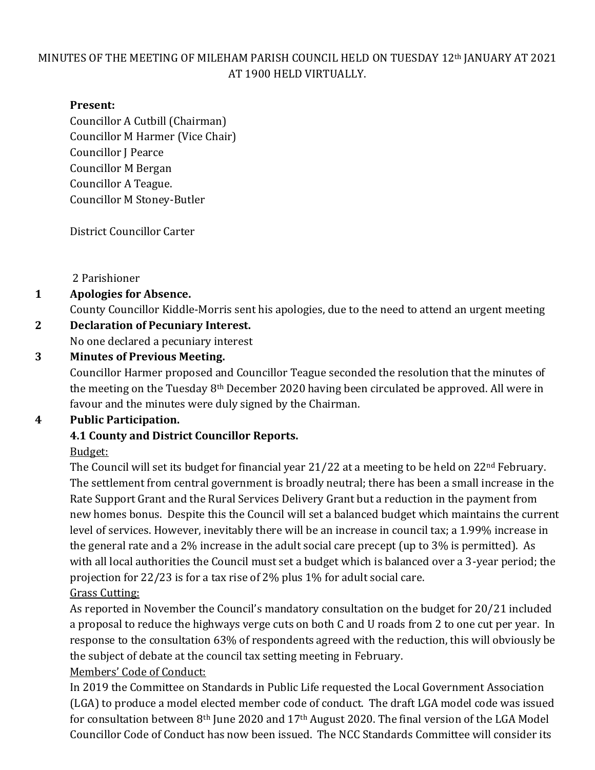#### MINUTES OF THE MEETING OF MILEHAM PARISH COUNCIL HELD ON TUESDAY 12th JANUARY AT 2021 AT 1900 HELD VIRTUALLY.

#### **Present:**

Councillor A Cutbill (Chairman) Councillor M Harmer (Vice Chair) Councillor J Pearce Councillor M Bergan Councillor A Teague. Councillor M Stoney-Butler

District Councillor Carter

2 Parishioner

## **1 Apologies for Absence.**

County Councillor Kiddle-Morris sent his apologies, due to the need to attend an urgent meeting

## **2 Declaration of Pecuniary Interest.**

No one declared a pecuniary interest

#### **3 Minutes of Previous Meeting.**

Councillor Harmer proposed and Councillor Teague seconded the resolution that the minutes of the meeting on the Tuesday 8th December 2020 having been circulated be approved. All were in favour and the minutes were duly signed by the Chairman.

## **4 Public Participation.**

## **4.1 County and District Councillor Reports.**

#### Budget:

The Council will set its budget for financial year 21/22 at a meeting to be held on 22<sup>nd</sup> February. The settlement from central government is broadly neutral; there has been a small increase in the Rate Support Grant and the Rural Services Delivery Grant but a reduction in the payment from new homes bonus. Despite this the Council will set a balanced budget which maintains the current level of services. However, inevitably there will be an increase in council tax; a 1.99% increase in the general rate and a 2% increase in the adult social care precept (up to 3% is permitted). As with all local authorities the Council must set a budget which is balanced over a 3-year period; the projection for 22/23 is for a tax rise of 2% plus 1% for adult social care.

#### Grass Cutting:

As reported in November the Council's mandatory consultation on the budget for 20/21 included a proposal to reduce the highways verge cuts on both C and U roads from 2 to one cut per year. In response to the consultation 63% of respondents agreed with the reduction, this will obviously be the subject of debate at the council tax setting meeting in February.

#### Members' Code of Conduct:

In 2019 the Committee on Standards in Public Life requested the Local Government Association (LGA) to produce a model elected member code of conduct. The draft LGA model code was issued for consultation between 8th June 2020 and 17th August 2020. The final version of the LGA Model Councillor Code of Conduct has now been issued. The NCC Standards Committee will consider its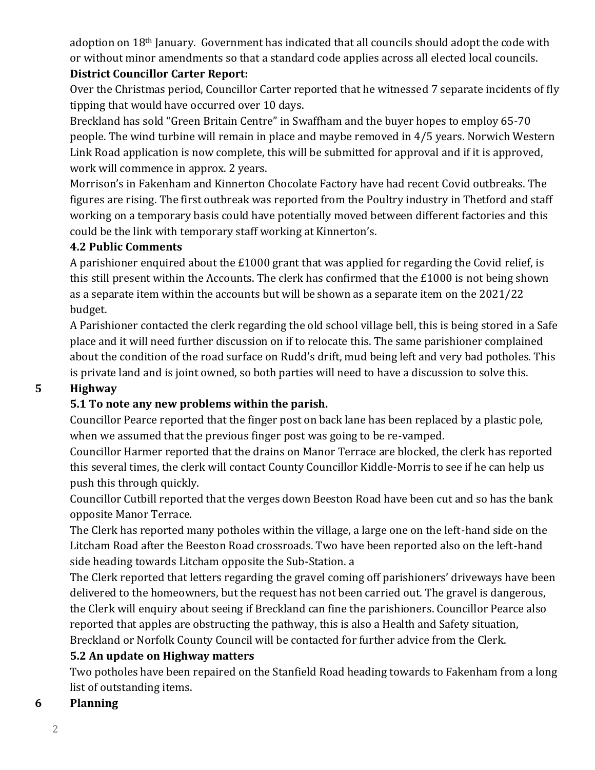adoption on 18<sup>th</sup> January. Government has indicated that all councils should adopt the code with or without minor amendments so that a standard code applies across all elected local councils. **District Councillor Carter Report:**

Over the Christmas period, Councillor Carter reported that he witnessed 7 separate incidents of fly tipping that would have occurred over 10 days.

Breckland has sold "Green Britain Centre" in Swaffham and the buyer hopes to employ 65-70 people. The wind turbine will remain in place and maybe removed in 4/5 years. Norwich Western Link Road application is now complete, this will be submitted for approval and if it is approved, work will commence in approx. 2 years.

Morrison's in Fakenham and Kinnerton Chocolate Factory have had recent Covid outbreaks. The figures are rising. The first outbreak was reported from the Poultry industry in Thetford and staff working on a temporary basis could have potentially moved between different factories and this could be the link with temporary staff working at Kinnerton's.

## **4.2 Public Comments**

A parishioner enquired about the £1000 grant that was applied for regarding the Covid relief, is this still present within the Accounts. The clerk has confirmed that the £1000 is not being shown as a separate item within the accounts but will be shown as a separate item on the 2021/22 budget.

A Parishioner contacted the clerk regarding the old school village bell, this is being stored in a Safe place and it will need further discussion on if to relocate this. The same parishioner complained about the condition of the road surface on Rudd's drift, mud being left and very bad potholes. This is private land and is joint owned, so both parties will need to have a discussion to solve this.

## **5 Highway**

## **5.1 To note any new problems within the parish.**

Councillor Pearce reported that the finger post on back lane has been replaced by a plastic pole, when we assumed that the previous finger post was going to be re-vamped.

Councillor Harmer reported that the drains on Manor Terrace are blocked, the clerk has reported this several times, the clerk will contact County Councillor Kiddle-Morris to see if he can help us push this through quickly.

Councillor Cutbill reported that the verges down Beeston Road have been cut and so has the bank opposite Manor Terrace.

The Clerk has reported many potholes within the village, a large one on the left-hand side on the Litcham Road after the Beeston Road crossroads. Two have been reported also on the left-hand side heading towards Litcham opposite the Sub-Station. a

The Clerk reported that letters regarding the gravel coming off parishioners' driveways have been delivered to the homeowners, but the request has not been carried out. The gravel is dangerous, the Clerk will enquiry about seeing if Breckland can fine the parishioners. Councillor Pearce also reported that apples are obstructing the pathway, this is also a Health and Safety situation, Breckland or Norfolk County Council will be contacted for further advice from the Clerk.

## **5.2 An update on Highway matters**

Two potholes have been repaired on the Stanfield Road heading towards to Fakenham from a long list of outstanding items.

## **6 Planning**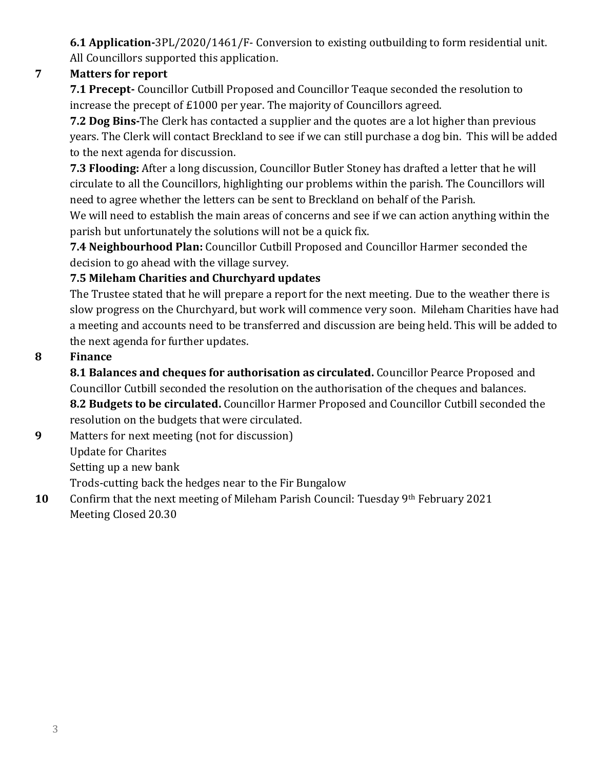**6.1 Application-**3PL/2020/1461/F- Conversion to existing outbuilding to form residential unit. All Councillors supported this application.

## **7 Matters for report**

**7.1 Precept-** Councillor Cutbill Proposed and Councillor Teaque seconded the resolution to increase the precept of £1000 per year. The majority of Councillors agreed.

**7.2 Dog Bins-**The Clerk has contacted a supplier and the quotes are a lot higher than previous years. The Clerk will contact Breckland to see if we can still purchase a dog bin. This will be added to the next agenda for discussion.

**7.3 Flooding:** After a long discussion, Councillor Butler Stoney has drafted a letter that he will circulate to all the Councillors, highlighting our problems within the parish. The Councillors will need to agree whether the letters can be sent to Breckland on behalf of the Parish.

We will need to establish the main areas of concerns and see if we can action anything within the parish but unfortunately the solutions will not be a quick fix.

**7.4 Neighbourhood Plan:** Councillor Cutbill Proposed and Councillor Harmer seconded the decision to go ahead with the village survey.

## **7.5 Mileham Charities and Churchyard updates**

The Trustee stated that he will prepare a report for the next meeting. Due to the weather there is slow progress on the Churchyard, but work will commence very soon. Mileham Charities have had a meeting and accounts need to be transferred and discussion are being held. This will be added to the next agenda for further updates.

## **8 Finance**

**8.1 Balances and cheques for authorisation as circulated.** Councillor Pearce Proposed and Councillor Cutbill seconded the resolution on the authorisation of the cheques and balances. **8.2 Budgets to be circulated.** Councillor Harmer Proposed and Councillor Cutbill seconded the resolution on the budgets that were circulated.

**9** Matters for next meeting (not for discussion) Update for Charites Setting up a new bank

Trods-cutting back the hedges near to the Fir Bungalow

**10** Confirm that the next meeting of Mileham Parish Council: Tuesday 9<sup>th</sup> February 2021 Meeting Closed 20.30